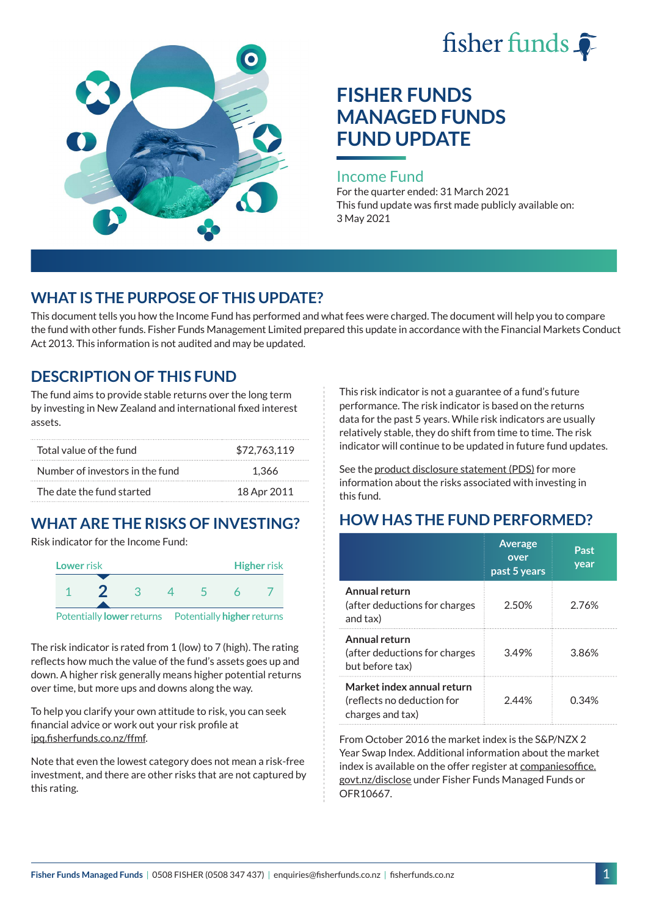



# **FISHER FUNDS MANAGED FUNDS FUND UPDATE**

#### Income Fund

For the quarter ended: 31 March 2021 This fund update was first made publicly available on: 3 May 2021

### **WHAT IS THE PURPOSE OF THIS UPDATE?**

This document tells you how the Income Fund has performed and what fees were charged. The document will help you to compare the fund with other funds. Fisher Funds Management Limited prepared this update in accordance with the Financial Markets Conduct Act 2013. This information is not audited and may be updated.

### **DESCRIPTION OF THIS FUND**

The fund aims to provide stable returns over the long term by investing in New Zealand and international fixed interest assets.

| Total value of the fund         | \$72.763.119 |
|---------------------------------|--------------|
| Number of investors in the fund | 1.366        |
| The date the fund started       | 18 Apr 2011  |

## **WHAT ARE THE RISKS OF INVESTING?**

Risk indicator for the Income Fund:



The risk indicator is rated from 1 (low) to 7 (high). The rating reflects how much the value of the fund's assets goes up and down. A higher risk generally means higher potential returns over time, but more ups and downs along the way.

To help you clarify your own attitude to risk, you can seek financial advice or work out your risk profile at [ipq.fisherfunds.co.nz/ffmf](https://ipq.fisherfunds.co.nz/ffmf).

Note that even the lowest category does not mean a risk-free investment, and there are other risks that are not captured by this rating.

This risk indicator is not a guarantee of a fund's future performance. The risk indicator is based on the returns data for the past 5 years. While risk indicators are usually relatively stable, they do shift from time to time. The risk indicator will continue to be updated in future fund updates.

See the [product disclosure statement \(PDS\)](https://fisherfunds.co.nz/assets/PDS/Fisher-Funds-Managed-Funds-PDS.pdf) for more information about the risks associated with investing in this fund.

## **HOW HAS THE FUND PERFORMED?**

|                                                                              | <b>Average</b><br>over<br>past 5 years | Past<br>year |
|------------------------------------------------------------------------------|----------------------------------------|--------------|
| Annual return<br>(after deductions for charges<br>and tax)                   | 2.50%                                  | 2.76%        |
| Annual return<br>(after deductions for charges<br>but before tax)            | 3.49%                                  | 3.86%        |
| Market index annual return<br>(reflects no deduction for<br>charges and tax) | 244%                                   | 0.34%        |

From October 2016 the market index is the S&P/NZX 2 Year Swap Index. Additional information about the market index is available on the offer register at [companiesoffice.](http://companiesoffice.govt.nz/disclose) [govt.nz/disclose](http://companiesoffice.govt.nz/disclose) under Fisher Funds Managed Funds or OFR10667.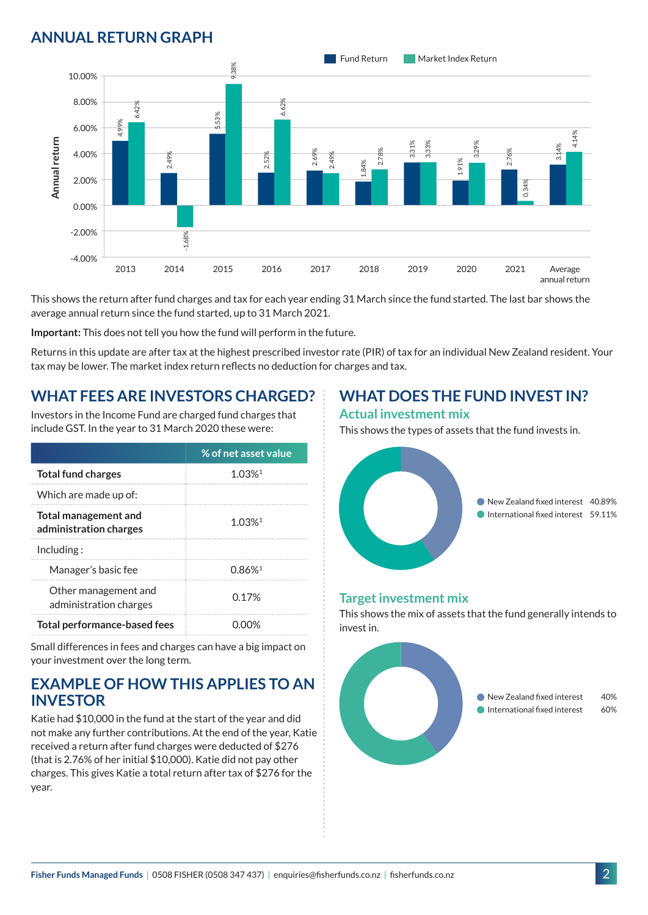## **ANNUAL RETURN GRAPH**



This shows the return after fund charges and tax for each year ending 31 March since the fund started. The last bar shows the average annual return since the fund started, up to 31 March 2021.

**Important:** This does not tell you how the fund will perform in the future.

Returns in this update are after tax at the highest prescribed investor rate (PIR) of tax for an individual New Zealand resident. Your tax may be lower. The market index return reflects no deduction for charges and tax.

### **WHAT FEES ARE INVESTORS CHARGED?**

Investors in the Income Fund are charged fund charges that include GST. In the year to 31 March 2020 these were:

|                                                       | % of net asset value |  |
|-------------------------------------------------------|----------------------|--|
| <b>Total fund charges</b>                             | $1.03%$ <sup>1</sup> |  |
| Which are made up of:                                 |                      |  |
| <b>Total management and</b><br>administration charges | 1 0.3%1              |  |
| Inding:                                               |                      |  |
| Manager's basic fee                                   | 0.86%                |  |
| Other management and<br>administration charges        | 0.17 <sup>%</sup>    |  |
| <b>Total performance-based fees</b>                   |                      |  |

Small differences in fees and charges can have a big impact on your investment over the long term.

#### **EXAMPLE OF HOW THIS APPLIES TO AN INVESTOR**

Katie had \$10,000 in the fund at the start of the year and did not make any further contributions. At the end of the year, Katie received a return after fund charges were deducted of \$276 (that is 2.76% of her initial \$10,000). Katie did not pay other charges. This gives Katie a total return after tax of \$276 for the year.

## **WHAT DOES THE FUND INVEST IN?**

#### **Actual investment mix**

This shows the types of assets that the fund invests in.



#### **Target investment mix**

This shows the mix of assets that the fund generally intends to invest in.